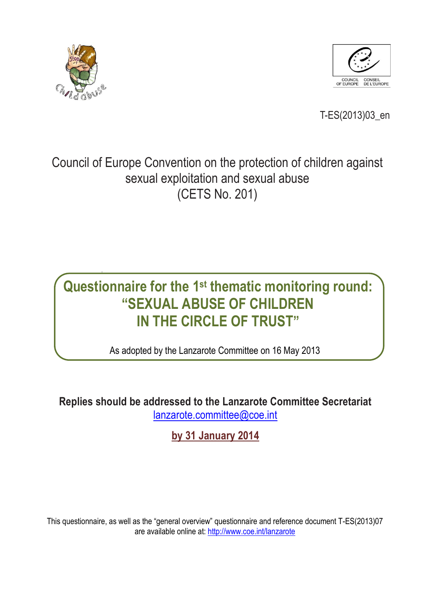



T-ES(2013)03\_en

## Council of Europe Convention on the protection of children against sexual exploitation and sexual abuse (CETS No. 201)

# **Questionnaire for the 1 st thematic monitoring round: "SEXUAL ABUSE OF CHILDREN IN THE CIRCLE OF TRUST"**

As adopted by the Lanzarote Committee on 16 May 2013

**Replies should be addressed to the Lanzarote Committee Secretariat**  [lanzarote.committee@coe.int](mailto:lanzarote.committee@coe.int)

**by 31 January 2014**

This questionnaire, as well as the "general overview" questionnaire and reference document T-ES(2013)07 are available online at: <http://www.coe.int/lanzarote>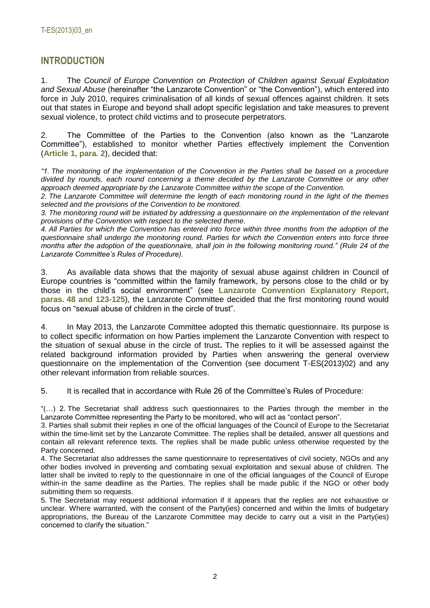## **INTRODUCTION**

1. The *Council of Europe Convention on Protection of Children against Sexual Exploitation and Sexual Abuse* (hereinafter "the Lanzarote Convention" or "the Convention"), which entered into force in July 2010, requires criminalisation of all kinds of sexual offences against children. It sets out that states in Europe and beyond shall adopt specific legislation and take measures to prevent sexual violence, to protect child victims and to prosecute perpetrators.

2. The Committee of the Parties to the Convention (also known as the "Lanzarote Committee"), established to monitor whether Parties effectively implement the Convention (**Article 1, para. 2**), decided that:

*"1. The monitoring of the implementation of the Convention in the Parties shall be based on a procedure divided by rounds, each round concerning a theme decided by the Lanzarote Committee or any other approach deemed appropriate by the Lanzarote Committee within the scope of the Convention.* 

*2. The Lanzarote Committee will determine the length of each monitoring round in the light of the themes selected and the provisions of the Convention to be monitored.*

*3. The monitoring round will be initiated by addressing a questionnaire on the implementation of the relevant provisions of the Convention with respect to the selected theme.*

*4. All Parties for which the Convention has entered into force within three months from the adoption of the questionnaire shall undergo the monitoring round. Parties for which the Convention enters into force three months after the adoption of the questionnaire, shall join in the following monitoring round." (Rule 24 of the Lanzarote Committee's Rules of Procedure).*

3. As available data shows that the majority of sexual abuse against children in Council of Europe countries is "committed within the family framework, by persons close to the child or by those in the child's social environment" (see **Lanzarote Convention Explanatory Report, paras. 48 and 123-125**), the Lanzarote Committee decided that the first monitoring round would focus on "sexual abuse of children in the circle of trust".

4. In May 2013, the Lanzarote Committee adopted this thematic questionnaire. Its purpose is to collect specific information on how Parties implement the Lanzarote Convention with respect to the situation of sexual abuse in the circle of trust**.** The replies to it will be assessed against the related background information provided by Parties when answering the general overview questionnaire on the implementation of the Convention (see document T-ES(2013)02) and any other relevant information from reliable sources.

5. It is recalled that in accordance with Rule 26 of the Committee's Rules of Procedure:

"(…) 2. The Secretariat shall address such questionnaires to the Parties through the member in the Lanzarote Committee representing the Party to be monitored, who will act as "contact person".

3. Parties shall submit their replies in one of the official languages of the Council of Europe to the Secretariat within the time-limit set by the Lanzarote Committee. The replies shall be detailed, answer all questions and contain all relevant reference texts. The replies shall be made public unless otherwise requested by the Party concerned.

4. The Secretariat also addresses the same questionnaire to representatives of civil society, NGOs and any other bodies involved in preventing and combating sexual exploitation and sexual abuse of children. The latter shall be invited to reply to the questionnaire in one of the official languages of the Council of Europe within-in the same deadline as the Parties. The replies shall be made public if the NGO or other body submitting them so requests.

5. The Secretariat may request additional information if it appears that the replies are not exhaustive or unclear. Where warranted, with the consent of the Party(ies) concerned and within the limits of budgetary appropriations, the Bureau of the Lanzarote Committee may decide to carry out a visit in the Party(ies) concerned to clarify the situation."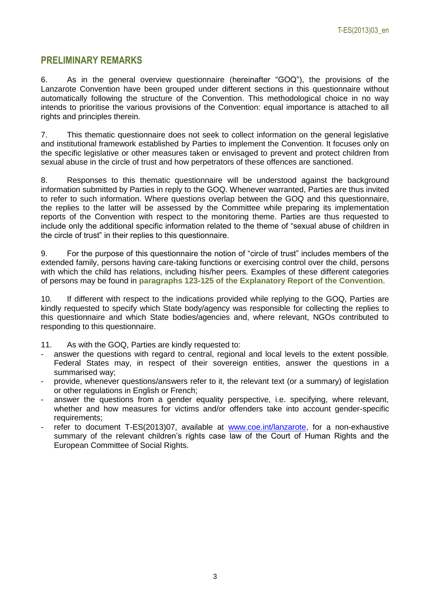### **PRELIMINARY REMARKS**

6. As in the general overview questionnaire (hereinafter "GOQ"), the provisions of the Lanzarote Convention have been grouped under different sections in this questionnaire without automatically following the structure of the Convention. This methodological choice in no way intends to prioritise the various provisions of the Convention: equal importance is attached to all rights and principles therein.

7. This thematic questionnaire does not seek to collect information on the general legislative and institutional framework established by Parties to implement the Convention. It focuses only on the specific legislative or other measures taken or envisaged to prevent and protect children from sexual abuse in the circle of trust and how perpetrators of these offences are sanctioned.

8. Responses to this thematic questionnaire will be understood against the background information submitted by Parties in reply to the GOQ. Whenever warranted, Parties are thus invited to refer to such information. Where questions overlap between the GOQ and this questionnaire, the replies to the latter will be assessed by the Committee while preparing its implementation reports of the Convention with respect to the monitoring theme. Parties are thus requested to include only the additional specific information related to the theme of "sexual abuse of children in the circle of trust" in their replies to this questionnaire.

9. For the purpose of this questionnaire the notion of "circle of trust" includes members of the extended family, persons having care-taking functions or exercising control over the child, persons with which the child has relations, including his/her peers. Examples of these different categories of persons may be found in **paragraphs 123-125 of the Explanatory Report of the Convention**.

10. If different with respect to the indications provided while replying to the GOQ, Parties are kindly requested to specify which State body/agency was responsible for collecting the replies to this questionnaire and which State bodies/agencies and, where relevant, NGOs contributed to responding to this questionnaire.

- 11. As with the GOQ, Parties are kindly requested to:
- answer the questions with regard to central, regional and local levels to the extent possible. Federal States may, in respect of their sovereign entities, answer the questions in a summarised way;
- provide, whenever questions/answers refer to it, the relevant text (or a summary) of legislation or other regulations in English or French;
- answer the questions from a gender equality perspective, i.e. specifying, where relevant, whether and how measures for victims and/or offenders take into account gender-specific requirements;
- refer to document T-ES(2013)07, available at [www.coe.int/lanzarote,](http://www.coe.int/lanzarote) for a non-exhaustive summary of the relevant children's rights case law of the Court of Human Rights and the European Committee of Social Rights.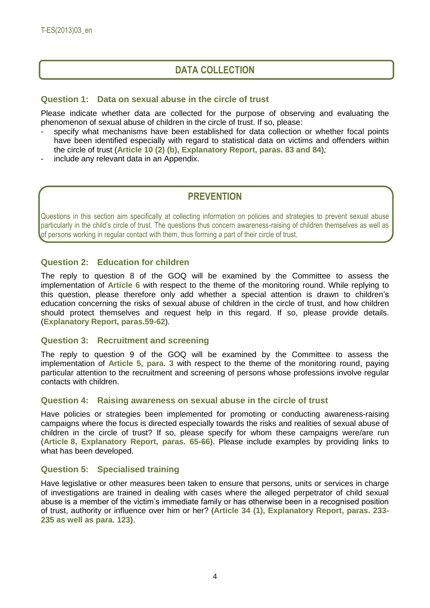## **DATA COLLECTION**

#### **Question 1: Data on sexual abuse in the circle of trust**

Please indicate whether data are collected for the purpose of observing and evaluating the phenomenon of sexual abuse of children in the circle of trust. If so, please:

- specify what mechanisms have been established for data collection or whether focal points have been identified especially with regard to statistical data on victims and offenders within the circle of trust (**Article 10 (2) (b), Explanatory Report, paras. 83 and 84**)*;*
- include any relevant data in an Appendix.

## **PREVENTION**

Questions in this section aim specifically at collecting information on policies and strategies to prevent sexual abuse particularly in the child's circle of trust. The questions thus concern awareness-raising of children themselves as well as of persons working in regular contact with them, thus forming a part of their circle of trust.

#### **Question 2: Education for children**

The reply to question 8 of the GOQ will be examined by the Committee to assess the implementation of **Article 6** with respect to the theme of the monitoring round. While replying to this question, please therefore only add whether a special attention is drawn to children's education concerning the risks of sexual abuse of children in the circle of trust, and how children should protect themselves and request help in this regard. If so, please provide details. (**Explanatory Report, paras.59-62**).

#### **Question 3: Recruitment and screening**

The reply to question 9 of the GOQ will be examined by the Committee to assess the implementation of **Article 5, para. 3** with respect to the theme of the monitoring round, paying particular attention to the recruitment and screening of persons whose professions involve regular contacts with children.

#### **Question 4: Raising awareness on sexual abuse in the circle of trust**

Have policies or strategies been implemented for promoting or conducting awareness-raising campaigns where the focus is directed especially towards the risks and realities of sexual abuse of children in the circle of trust? If so, please specify for whom these campaigns were/are run (**Article 8, Explanatory Report, paras. 65-66**). Please include examples by providing links to what has been developed.

#### **Question 5: Specialised training**

Have legislative or other measures been taken to ensure that persons, units or services in charge of investigations are trained in dealing with cases where the alleged perpetrator of child sexual abuse is a member of the victim's immediate family or has otherwise been in a recognised position of trust, authority or influence over him or her? (**Article 34 (1), Explanatory Report, paras. 233- 235 as well as para. 123**).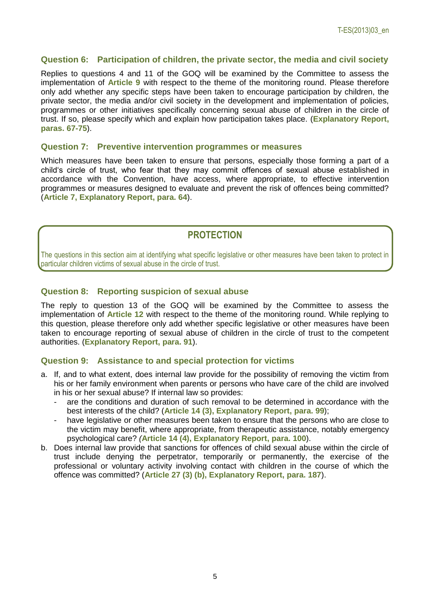#### **Question 6: Participation of children, the private sector, the media and civil society**

Replies to questions 4 and 11 of the GOQ will be examined by the Committee to assess the implementation of **Article 9** with respect to the theme of the monitoring round. Please therefore only add whether any specific steps have been taken to encourage participation by children, the private sector, the media and/or civil society in the development and implementation of policies, programmes or other initiatives specifically concerning sexual abuse of children in the circle of trust. If so, please specify which and explain how participation takes place. (**Explanatory Report, paras. 67-75**).

#### **Question 7: Preventive intervention programmes or measures**

Which measures have been taken to ensure that persons, especially those forming a part of a child's circle of trust, who fear that they may commit offences of sexual abuse established in accordance with the Convention, have access, where appropriate, to effective intervention programmes or measures designed to evaluate and prevent the risk of offences being committed? (**Article 7, Explanatory Report, para. 64**).

## **PROTECTION**

The questions in this section aim at identifying what specific legislative or other measures have been taken to protect in particular children victims of sexual abuse in the circle of trust.

#### **Question 8: Reporting suspicion of sexual abuse**

The reply to question 13 of the GOQ will be examined by the Committee to assess the implementation of **Article 12** with respect to the theme of the monitoring round. While replying to this question, please therefore only add whether specific legislative or other measures have been taken to encourage reporting of sexual abuse of children in the circle of trust to the competent authorities. (**Explanatory Report, para. 91**).

#### **Question 9: Assistance to and special protection for victims**

- a. If, and to what extent, does internal law provide for the possibility of removing the victim from his or her family environment when parents or persons who have care of the child are involved in his or her sexual abuse? If internal law so provides:
	- are the conditions and duration of such removal to be determined in accordance with the best interests of the child? (**Article 14 (3), Explanatory Report, para. 99**);
	- have legislative or other measures been taken to ensure that the persons who are close to the victim may benefit, where appropriate, from therapeutic assistance, notably emergency psychological care? *(***Article 14 (4), Explanatory Report, para. 100**).
- b. Does internal law provide that sanctions for offences of child sexual abuse within the circle of trust include denying the perpetrator, temporarily or permanently, the exercise of the professional or voluntary activity involving contact with children in the course of which the offence was committed? (**Article 27 (3) (b), Explanatory Report, para. 187**).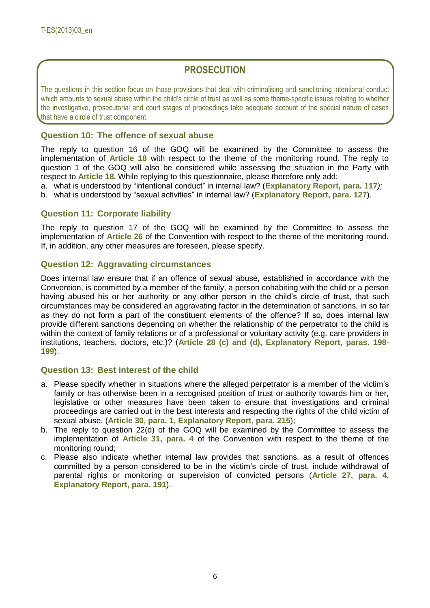## **PROSECUTION**

The questions in this section focus on those provisions that deal with criminalising and sanctioning intentional conduct which amounts to sexual abuse within the child's circle of trust as well as some theme-specific issues relating to whether the investigative, prosecutorial and court stages of proceedings take adequate account of the special nature of cases that have a circle of trust component.

#### **Question 10: The offence of sexual abuse**

The reply to question 16 of the GOQ will be examined by the Committee to assess the implementation of **Article 18** with respect to the theme of the monitoring round. The reply to question 1 of the GOQ will also be considered while assessing the situation in the Party with respect to **Article 18**. While replying to this questionnaire, please therefore only add:

a. what is understood by "intentional conduct" in internal law? (**Explanatory Report, para. 117***);*

b. what is understood by "sexual activities" in internal law? (**Explanatory Report, para. 127**).

#### **Question 11: Corporate liability**

The reply to question 17 of the GOQ will be examined by the Committee to assess the implementation of **Article 26** of the Convention with respect to the theme of the monitoring round. If, in addition, any other measures are foreseen, please specify.

#### **Question 12: Aggravating circumstances**

Does internal law ensure that if an offence of sexual abuse, established in accordance with the Convention, is committed by a member of the family, a person cohabiting with the child or a person having abused his or her authority or any other person in the child's circle of trust, that such circumstances may be considered an aggravating factor in the determination of sanctions, in so far as they do not form a part of the constituent elements of the offence? If so, does internal law provide different sanctions depending on whether the relationship of the perpetrator to the child is within the context of family relations or of a professional or voluntary activity (e.g. care providers in institutions, teachers, doctors, etc.)? (**Article 28 (c) and (d), Explanatory Report, paras. 198- 199**).

#### **Question 13: Best interest of the child**

- a. Please specify whether in situations where the alleged perpetrator is a member of the victim's family or has otherwise been in a recognised position of trust or authority towards him or her, legislative or other measures have been taken to ensure that investigations and criminal proceedings are carried out in the best interests and respecting the rights of the child victim of sexual abuse. (**Article 30, para. 1, Explanatory Report, para. 215**);
- b. The reply to question 22(d) of the GOQ will be examined by the Committee to assess the implementation of **Article 31, para. 4** of the Convention with respect to the theme of the monitoring round;
- c. Please also indicate whether internal law provides that sanctions, as a result of offences committed by a person considered to be in the victim's circle of trust, include withdrawal of parental rights or monitoring or supervision of convicted persons (**Article 27, para. 4, Explanatory Report, para. 191**).